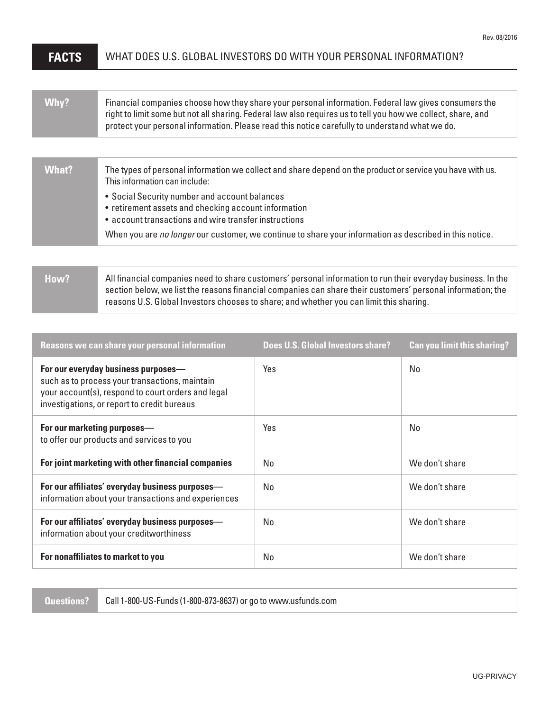## **FACTS** WHAT DOES U.S. GLOBAL INVESTORS DO WITH YOUR PERSONAL INFORMATION?

| Why? | Financial companies choose how they share your personal information. Federal law gives consumers the<br>right to limit some but not all sharing. Federal law also requires us to tell you how we collect, share, and<br>protect your personal information. Please read this notice carefully to understand what we do. |
|------|------------------------------------------------------------------------------------------------------------------------------------------------------------------------------------------------------------------------------------------------------------------------------------------------------------------------|
|------|------------------------------------------------------------------------------------------------------------------------------------------------------------------------------------------------------------------------------------------------------------------------------------------------------------------------|

| What? | The types of personal information we collect and share depend on the product or service you have with us.<br>This information can include:                     |
|-------|----------------------------------------------------------------------------------------------------------------------------------------------------------------|
|       | • Social Security number and account balances<br>• retirement assets and checking account information<br>• account transactions and wire transfer instructions |
|       | When you are no longer our customer, we continue to share your information as described in this notice.                                                        |

| How? | All financial companies need to share customers' personal information to run their everyday business. In the |
|------|--------------------------------------------------------------------------------------------------------------|
|      | section below, we list the reasons financial companies can share their customers' personal information; the  |
|      | reasons U.S. Global Investors chooses to share; and whether you can limit this sharing.                      |

| Reasons we can share your personal information                                                                                                                                             | <b>Does U.S. Global Investors share?</b> | <b>Can you limit this sharing?</b> |
|--------------------------------------------------------------------------------------------------------------------------------------------------------------------------------------------|------------------------------------------|------------------------------------|
| For our everyday business purposes—<br>such as to process your transactions, maintain<br>your account(s), respond to court orders and legal<br>investigations, or report to credit bureaus | Yes                                      | No                                 |
| For our marketing purposes-<br>to offer our products and services to you                                                                                                                   | Yes                                      | No                                 |
| For joint marketing with other financial companies                                                                                                                                         | No.                                      | We don't share                     |
| For our affiliates' everyday business purposes-<br>information about your transactions and experiences                                                                                     | No.                                      | We don't share                     |
| For our affiliates' everyday business purposes-<br>information about your creditworthiness                                                                                                 | No.                                      | We don't share                     |
| For nonaffiliates to market to you                                                                                                                                                         | No.                                      | We don't share                     |

**Questions?** Call 1-800-US-Funds (1-800-873-8637) or go to www.usfunds.com